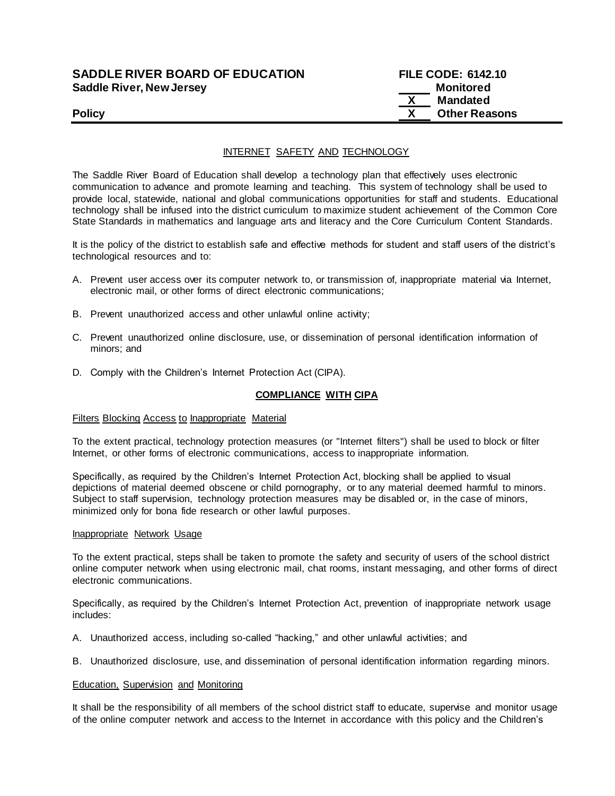| <b>SADDLE RIVER BOARD OF EDUCATION</b> | <b>FILE CODE: 6142.10</b> |
|----------------------------------------|---------------------------|
| <b>Saddle River, New Jersey</b>        | Monitored                 |
|                                        | Mandated                  |
| <b>Policy</b>                          | <b>Other Reasons</b>      |

# INTERNET SAFETY AND TECHNOLOGY

The Saddle River Board of Education shall develop a technology plan that effectively uses electronic communication to advance and promote learning and teaching. This system of technology shall be used to provide local, statewide, national and global communications opportunities for staff and students. Educational technology shall be infused into the district curriculum to maximize student achievement of the Common Core State Standards in mathematics and language arts and literacy and the Core Curriculum Content Standards.

It is the policy of the district to establish safe and effective methods for student and staff users of the district's technological resources and to:

- A. Prevent user access over its computer network to, or transmission of, inappropriate material via Internet, electronic mail, or other forms of direct electronic communications;
- B. Prevent unauthorized access and other unlawful online activity;
- C. Prevent unauthorized online disclosure, use, or dissemination of personal identification information of minors; and
- D. Comply with the Children's Internet Protection Act (CIPA).

## **COMPLIANCE WITH CIPA**

### Filters Blocking Access to Inappropriate Material

To the extent practical, technology protection measures (or "Internet filters") shall be used to block or filter Internet, or other forms of electronic communications, access to inappropriate information.

Specifically, as required by the Children's Internet Protection Act, blocking shall be applied to visual depictions of material deemed obscene or child pornography, or to any material deemed harmful to minors. Subject to staff supervision, technology protection measures may be disabled or, in the case of minors, minimized only for bona fide research or other lawful purposes.

### Inappropriate Network Usage

To the extent practical, steps shall be taken to promote the safety and security of users of the school district online computer network when using electronic mail, chat rooms, instant messaging, and other forms of direct electronic communications.

Specifically, as required by the Children's Internet Protection Act, prevention of inappropriate network usage includes:

- A. Unauthorized access, including so-called "hacking," and other unlawful activities; and
- B. Unauthorized disclosure, use, and dissemination of personal identification information regarding minors.

### **Education, Supervision and Monitoring**

It shall be the responsibility of all members of the school district staff to educate, supervise and monitor usage of the online computer network and access to the Internet in accordance with this policy and the Children's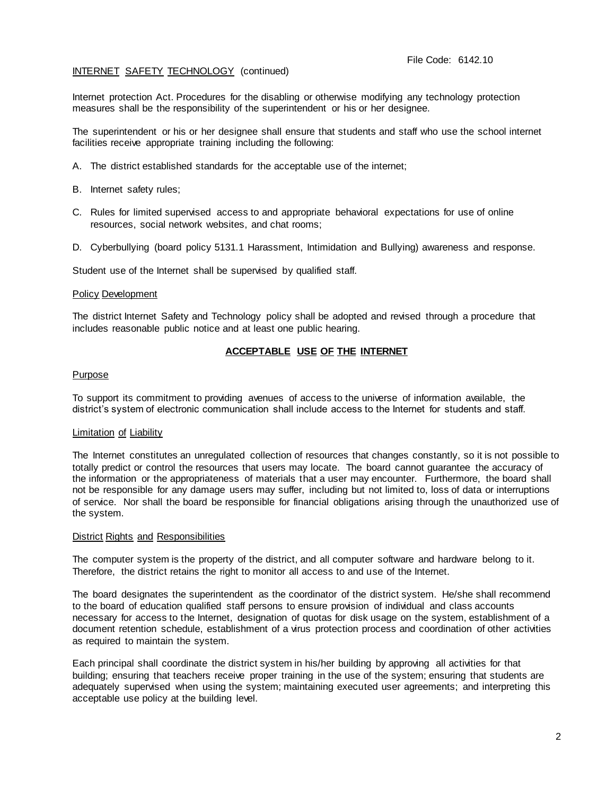Internet protection Act. Procedures for the disabling or otherwise modifying any technology protection measures shall be the responsibility of the superintendent or his or her designee.

The superintendent or his or her designee shall ensure that students and staff who use the school internet facilities receive appropriate training including the following:

- A. The district established standards for the acceptable use of the internet;
- B. Internet safety rules;
- C. Rules for limited supervised access to and appropriate behavioral expectations for use of online resources, social network websites, and chat rooms;
- D. Cyberbullying (board policy 5131.1 Harassment, Intimidation and Bullying) awareness and response.

Student use of the Internet shall be supervised by qualified staff.

### Policy Development

The district Internet Safety and Technology policy shall be adopted and revised through a procedure that includes reasonable public notice and at least one public hearing.

# **ACCEPTABLE USE OF THE INTERNET**

### Purpose

To support its commitment to providing avenues of access to the universe of information available, the district's system of electronic communication shall include access to the Internet for students and staff.

## Limitation of Liability

The Internet constitutes an unregulated collection of resources that changes constantly, so it is not possible to totally predict or control the resources that users may locate. The board cannot guarantee the accuracy of the information or the appropriateness of materials that a user may encounter. Furthermore, the board shall not be responsible for any damage users may suffer, including but not limited to, loss of data or interruptions of service. Nor shall the board be responsible for financial obligations arising through the unauthorized use of the system.

### District Rights and Responsibilities

The computer system is the property of the district, and all computer software and hardware belong to it. Therefore, the district retains the right to monitor all access to and use of the Internet.

The board designates the superintendent as the coordinator of the district system. He/she shall recommend to the board of education qualified staff persons to ensure provision of individual and class accounts necessary for access to the Internet, designation of quotas for disk usage on the system, establishment of a document retention schedule, establishment of a virus protection process and coordination of other activities as required to maintain the system.

Each principal shall coordinate the district system in his/her building by approving all activities for that building; ensuring that teachers receive proper training in the use of the system; ensuring that students are adequately supervised when using the system; maintaining executed user agreements; and interpreting this acceptable use policy at the building level.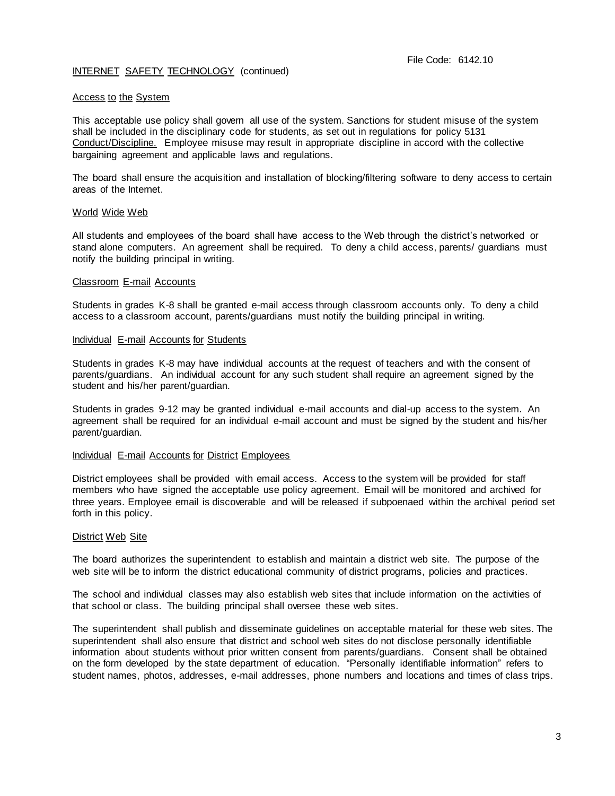## Access to the System

This acceptable use policy shall govern all use of the system. Sanctions for student misuse of the system shall be included in the disciplinary code for students, as set out in regulations for policy 5131 Conduct/Discipline. Employee misuse may result in appropriate discipline in accord with the collective bargaining agreement and applicable laws and regulations.

The board shall ensure the acquisition and installation of blocking/filtering software to deny access to certain areas of the Internet.

### World Wide Web

All students and employees of the board shall have access to the Web through the district's networked or stand alone computers. An agreement shall be required. To deny a child access, parents/ guardians must notify the building principal in writing.

### Classroom E-mail Accounts

Students in grades K-8 shall be granted e-mail access through classroom accounts only. To deny a child access to a classroom account, parents/guardians must notify the building principal in writing.

### Individual E-mail Accounts for Students

Students in grades K-8 may have individual accounts at the request of teachers and with the consent of parents/guardians. An individual account for any such student shall require an agreement signed by the student and his/her parent/guardian.

Students in grades 9-12 may be granted individual e-mail accounts and dial-up access to the system. An agreement shall be required for an individual e-mail account and must be signed by the student and his/her parent/guardian.

### Individual E-mail Accounts for District Employees

District employees shall be provided with email access. Access to the system will be provided for staff members who have signed the acceptable use policy agreement. Email will be monitored and archived for three years. Employee email is discoverable and will be released if subpoenaed within the archival period set forth in this policy.

### District Web Site

The board authorizes the superintendent to establish and maintain a district web site. The purpose of the web site will be to inform the district educational community of district programs, policies and practices.

The school and individual classes may also establish web sites that include information on the activities of that school or class. The building principal shall oversee these web sites.

The superintendent shall publish and disseminate guidelines on acceptable material for these web sites. The superintendent shall also ensure that district and school web sites do not disclose personally identifiable information about students without prior written consent from parents/guardians. Consent shall be obtained on the form developed by the state department of education. "Personally identifiable information" refers to student names, photos, addresses, e-mail addresses, phone numbers and locations and times of class trips.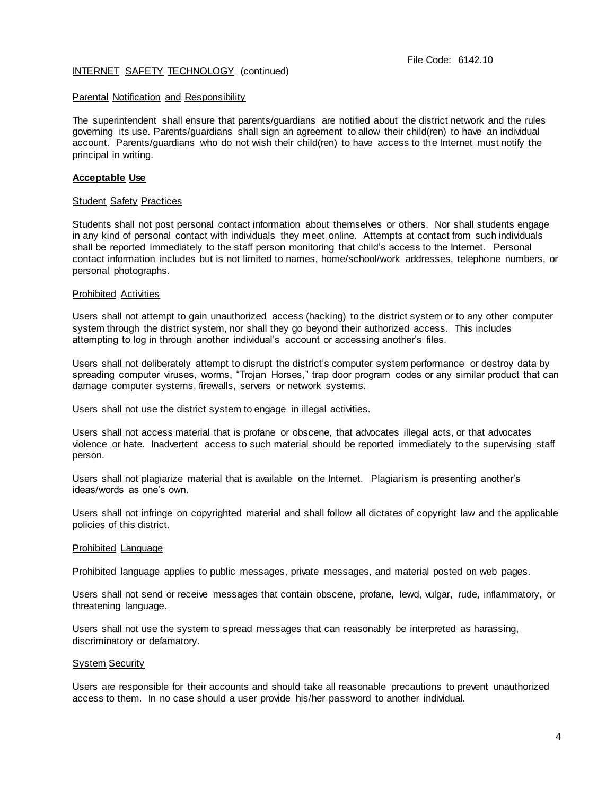# Parental Notification and Responsibility

The superintendent shall ensure that parents/guardians are notified about the district network and the rules governing its use. Parents/guardians shall sign an agreement to allow their child(ren) to have an individual account. Parents/guardians who do not wish their child(ren) to have access to the Internet must notify the principal in writing.

## **Acceptable Use**

### Student Safety Practices

Students shall not post personal contact information about themselves or others. Nor shall students engage in any kind of personal contact with individuals they meet online. Attempts at contact from such individuals shall be reported immediately to the staff person monitoring that child's access to the Internet. Personal contact information includes but is not limited to names, home/school/work addresses, telephone numbers, or personal photographs.

## Prohibited Activities

Users shall not attempt to gain unauthorized access (hacking) to the district system or to any other computer system through the district system, nor shall they go beyond their authorized access. This includes attempting to log in through another individual's account or accessing another's files.

Users shall not deliberately attempt to disrupt the district's computer system performance or destroy data by spreading computer viruses, worms, "Trojan Horses," trap door program codes or any similar product that can damage computer systems, firewalls, servers or network systems.

Users shall not use the district system to engage in illegal activities.

Users shall not access material that is profane or obscene, that advocates illegal acts, or that advocates violence or hate. Inadvertent access to such material should be reported immediately to the supervising staff person.

Users shall not plagiarize material that is available on the Internet. Plagiarism is presenting another's ideas/words as one's own.

Users shall not infringe on copyrighted material and shall follow all dictates of copyright law and the applicable policies of this district.

### Prohibited Language

Prohibited language applies to public messages, private messages, and material posted on web pages.

Users shall not send or receive messages that contain obscene, profane, lewd, vulgar, rude, inflammatory, or threatening language.

Users shall not use the system to spread messages that can reasonably be interpreted as harassing, discriminatory or defamatory.

## **System Security**

Users are responsible for their accounts and should take all reasonable precautions to prevent unauthorized access to them. In no case should a user provide his/her password to another individual.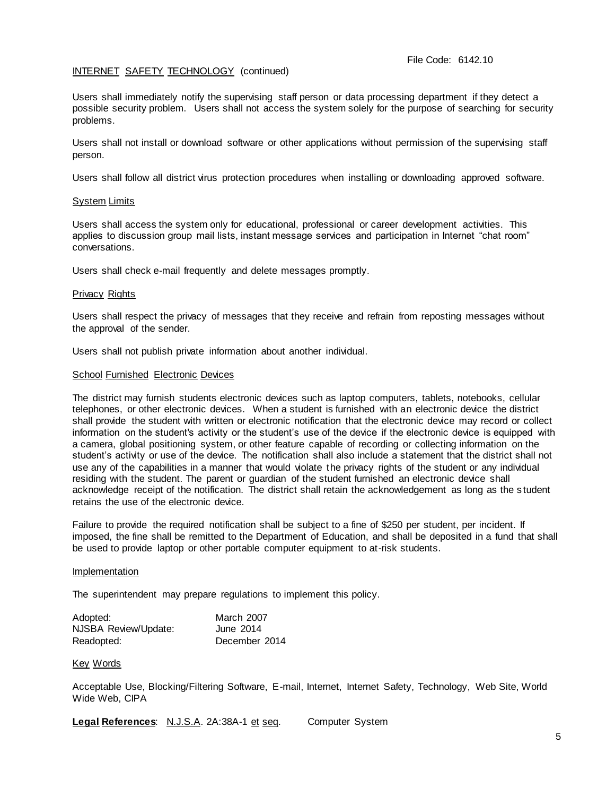Users shall immediately notify the supervising staff person or data processing department if they detect a possible security problem. Users shall not access the system solely for the purpose of searching for security problems.

Users shall not install or download software or other applications without permission of the supervising staff person.

Users shall follow all district virus protection procedures when installing or downloading approved software.

## System Limits

Users shall access the system only for educational, professional or career development activities. This applies to discussion group mail lists, instant message services and participation in Internet "chat room" conversations.

Users shall check e-mail frequently and delete messages promptly.

### Privacy Rights

Users shall respect the privacy of messages that they receive and refrain from reposting messages without the approval of the sender.

Users shall not publish private information about another individual.

### School Furnished Electronic Devices

The district may furnish students electronic devices such as laptop computers, tablets, notebooks, cellular telephones, or other electronic devices. When a student is furnished with an electronic device the district shall provide the student with written or electronic notification that the electronic device may record or collect information on the student's activity or the student's use of the device if the electronic device is equipped with a camera, global positioning system, or other feature capable of recording or collecting information on the student's activity or use of the device. The notification shall also include a statement that the district shall not use any of the capabilities in a manner that would violate the privacy rights of the student or any individual residing with the student. The parent or guardian of the student furnished an electronic device shall acknowledge receipt of the notification. The district shall retain the acknowledgement as long as the s tudent retains the use of the electronic device.

Failure to provide the required notification shall be subject to a fine of \$250 per student, per incident. If imposed, the fine shall be remitted to the Department of Education, and shall be deposited in a fund that shall be used to provide laptop or other portable computer equipment to at-risk students.

### **Implementation**

The superintendent may prepare regulations to implement this policy.

| Adopted:             | March 2007    |  |  |
|----------------------|---------------|--|--|
| NJSBA Review/Update: | June 2014     |  |  |
| Readopted:           | December 2014 |  |  |

## Key Words

Acceptable Use, Blocking/Filtering Software, E-mail, Internet, Internet Safety, Technology, Web Site, World Wide Web, CIPA

**Legal References:** N.J.S.A. 2A:38A-1 et seq. Computer System